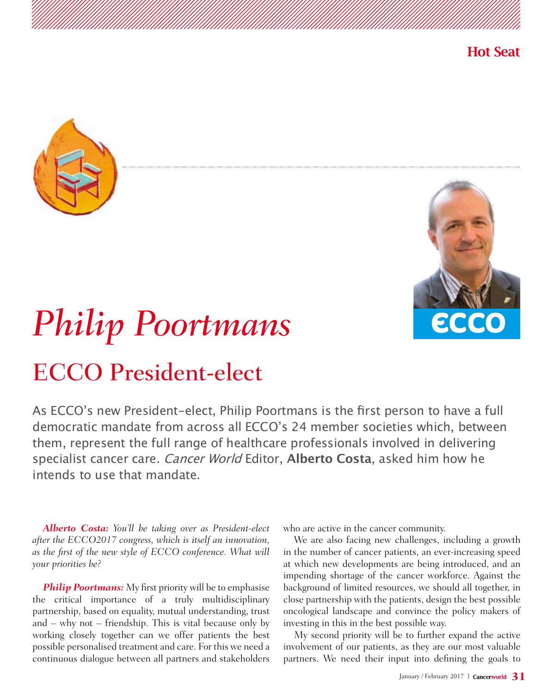





## *Philip Poortmans*

## ECCO President-elect

As ECCO's new President-elect, Philip Poortmans is the frst person to have a full democratic mandate from across all ECCO's 24 member societies which, between them, represent the full range of healthcare professionals involved in delivering specialist cancer care. Cancer World Editor, **Alberto Costa**, asked him how he intends to use that mandate.

*Alberto Costa: You'll be taking over as President-elect after the ECCO2017 congress, which is itself an innovation, as the first of the new style of ECCO conference. What will your priorities be?*

**Philip Poortmans:** My first priority will be to emphasise the critical importance of a truly multidisciplinary partnership, based on equality, mutual understanding, trust and – why not – friendship. This is vital because only by working closely together can we offer patients the best possible personalised treatment and care. For this we need a continuous dialogue between all partners and stakeholders

who are active in the cancer community.

We are also facing new challenges, including a growth in the number of cancer patients, an ever-increasing speed at which new developments are being introduced, and an impending shortage of the cancer workforce. Against the background of limited resources, we should all together, in close partnership with the patients, design the best possible oncological landscape and convince the policy makers of investing in this in the best possible way.

My second priority will be to further expand the active involvement of our patients, as they are our most valuable partners. We need their input into defining the goals to